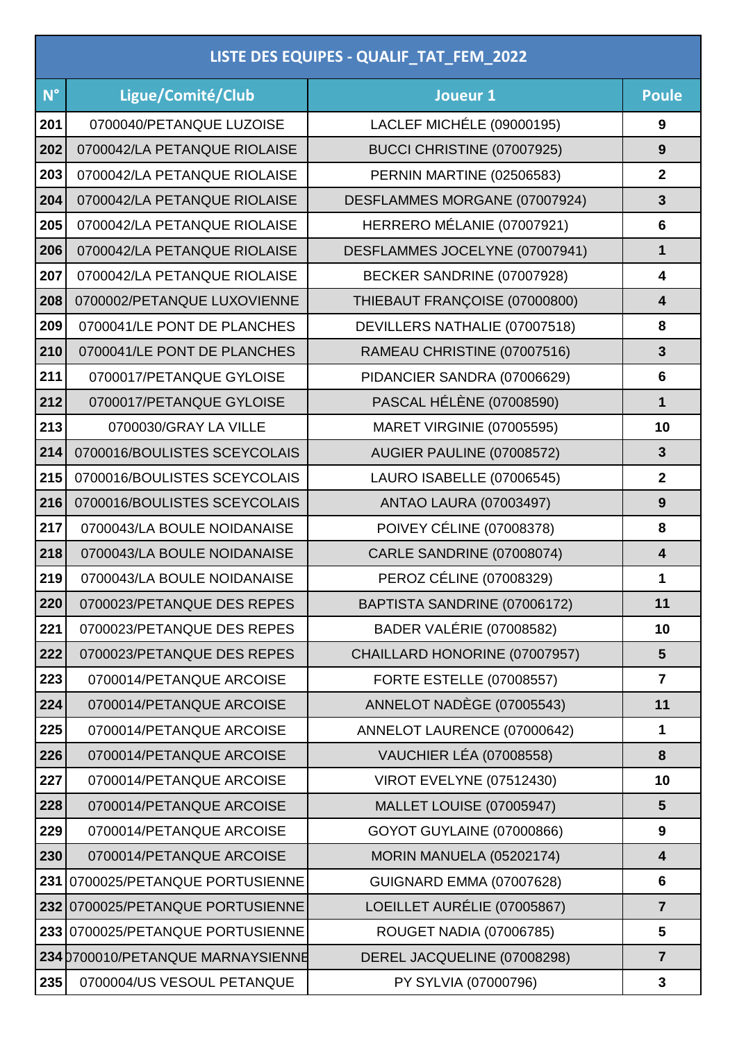| LISTE DES EQUIPES - QUALIF_TAT_FEM_2022 |                                   |                                  |                         |  |
|-----------------------------------------|-----------------------------------|----------------------------------|-------------------------|--|
| $N^{\circ}$                             | Ligue/Comité/Club                 | Joueur 1                         | <b>Poule</b>            |  |
| 201                                     | 0700040/PETANQUE LUZOISE          | LACLEF MICHÉLE (09000195)        | 9                       |  |
| 202                                     | 0700042/LA PETANQUE RIOLAISE      | BUCCI CHRISTINE (07007925)       | 9                       |  |
| 203                                     | 0700042/LA PETANQUE RIOLAISE      | PERNIN MARTINE (02506583)        | $\mathbf 2$             |  |
| 204                                     | 0700042/LA PETANQUE RIOLAISE      | DESFLAMMES MORGANE (07007924)    | 3                       |  |
| 205                                     | 0700042/LA PETANQUE RIOLAISE      | HERRERO MÉLANIE (07007921)       | $6\phantom{1}$          |  |
| 206                                     | 0700042/LA PETANQUE RIOLAISE      | DESFLAMMES JOCELYNE (07007941)   | 1                       |  |
| 207                                     | 0700042/LA PETANQUE RIOLAISE      | BECKER SANDRINE (07007928)       | 4                       |  |
| 208                                     | 0700002/PETANQUE LUXOVIENNE       | THIEBAUT FRANÇOISE (07000800)    | 4                       |  |
| 209                                     | 0700041/LE PONT DE PLANCHES       | DEVILLERS NATHALIE (07007518)    | 8                       |  |
| 210                                     | 0700041/LE PONT DE PLANCHES       | RAMEAU CHRISTINE (07007516)      | 3                       |  |
| 211                                     | 0700017/PETANQUE GYLOISE          | PIDANCIER SANDRA (07006629)      | 6                       |  |
| 212                                     | 0700017/PETANQUE GYLOISE          | PASCAL HÉLÈNE (07008590)         | 1                       |  |
| 213                                     | 0700030/GRAY LA VILLE             | MARET VIRGINIE (07005595)        | 10                      |  |
| 214                                     | 0700016/BOULISTES SCEYCOLAIS      | AUGIER PAULINE (07008572)        | 3                       |  |
| 215                                     | 0700016/BOULISTES SCEYCOLAIS      | LAURO ISABELLE (07006545)        | $\mathbf{2}$            |  |
| 216                                     | 0700016/BOULISTES SCEYCOLAIS      | <b>ANTAO LAURA (07003497)</b>    | 9                       |  |
| 217                                     | 0700043/LA BOULE NOIDANAISE       | <b>POIVEY CÉLINE (07008378)</b>  | 8                       |  |
| 218                                     | 0700043/LA BOULE NOIDANAISE       | CARLE SANDRINE (07008074)        | 4                       |  |
| 219                                     | 0700043/LA BOULE NOIDANAISE       | PEROZ CÉLINE (07008329)          | 1                       |  |
| 220                                     | 0700023/PETANQUE DES REPES        | BAPTISTA SANDRINE (07006172)     | 11                      |  |
| 221                                     | 0700023/PETANQUE DES REPES        | BADER VALÉRIE (07008582)         | 10                      |  |
| 222                                     | 0700023/PETANQUE DES REPES        | CHAILLARD HONORINE (07007957)    | 5                       |  |
| 223                                     | 0700014/PETANQUE ARCOISE          | <b>FORTE ESTELLE (07008557)</b>  | $\overline{\mathbf{r}}$ |  |
| 224                                     | 0700014/PETANQUE ARCOISE          | ANNELOT NADÈGE (07005543)        | 11                      |  |
| 225                                     | 0700014/PETANQUE ARCOISE          | ANNELOT LAURENCE (07000642)      | 1                       |  |
| 226                                     | 0700014/PETANQUE ARCOISE          | <b>VAUCHIER LÉA (07008558)</b>   | 8                       |  |
| 227                                     | 0700014/PETANQUE ARCOISE          | <b>VIROT EVELYNE (07512430)</b>  | 10                      |  |
| 228                                     | 0700014/PETANQUE ARCOISE          | MALLET LOUISE (07005947)         | 5                       |  |
| 229                                     | 0700014/PETANQUE ARCOISE          | <b>GOYOT GUYLAINE (07000866)</b> | 9                       |  |
| 230                                     | 0700014/PETANQUE ARCOISE          | MORIN MANUELA (05202174)         | $\overline{\mathbf{4}}$ |  |
| 231                                     | 0700025/PETANQUE PORTUSIENNE      | <b>GUIGNARD EMMA (07007628)</b>  | 6                       |  |
| 232                                     | 0700025/PETANQUE PORTUSIENNE      | LOEILLET AURÉLIE (07005867)      | $\overline{7}$          |  |
|                                         | 233 0700025/PETANQUE PORTUSIENNE  | ROUGET NADIA (07006785)          | 5                       |  |
|                                         | 234 0700010/PETANQUE MARNAYSIENNE | DEREL JACQUELINE (07008298)      | $\overline{7}$          |  |
| 235                                     | 0700004/US VESOUL PETANQUE        | PY SYLVIA (07000796)             | 3                       |  |